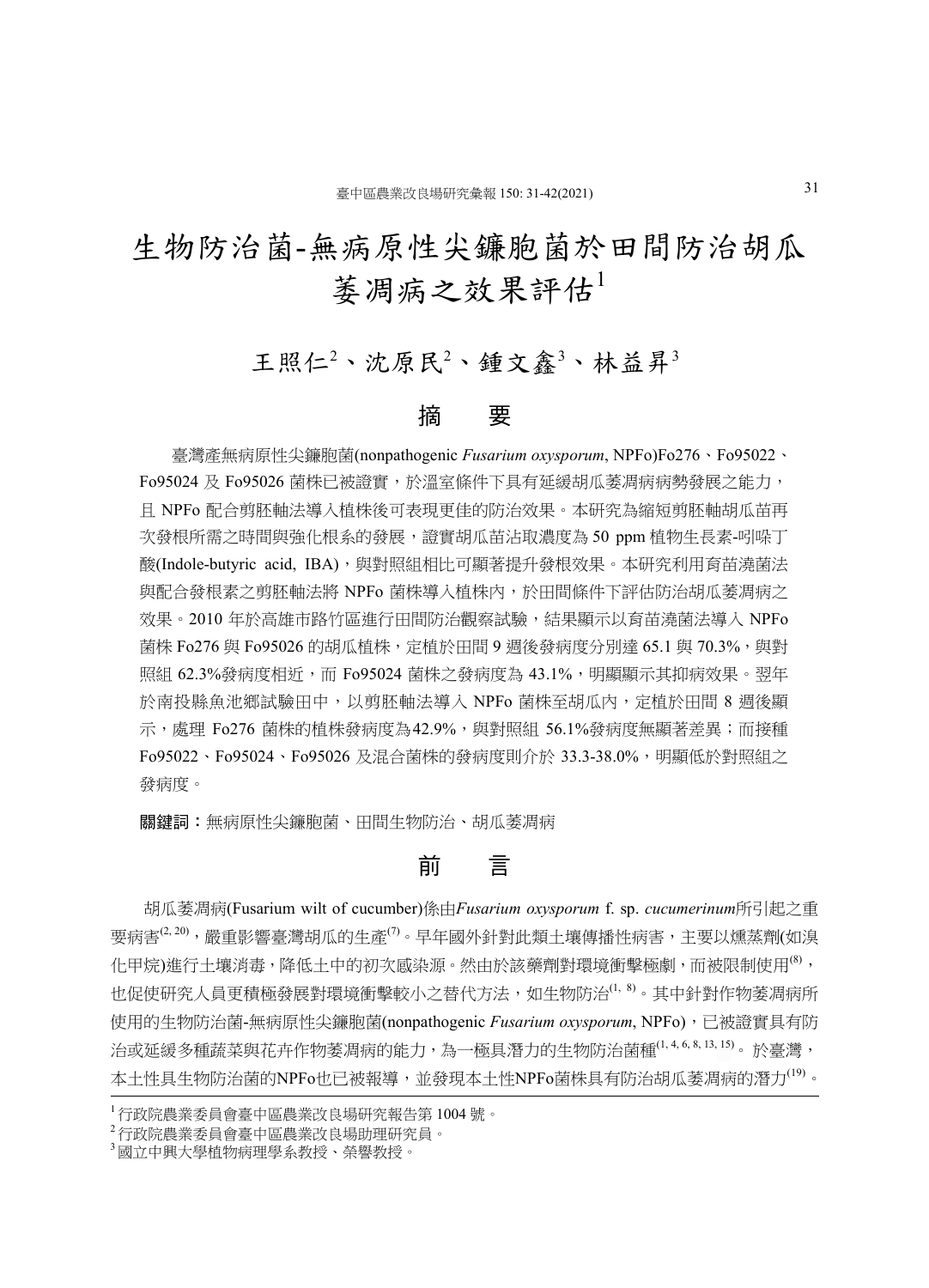# 生物防治菌-無病原性尖鐮胞菌於田間防治胡瓜 萎凋病之效果評估

# 王照仁<sup>2</sup>、沈原民<sup>2</sup>、鍾文鑫<sup>3</sup>、林益昇<sup>3</sup>

### 摘 要

臺灣產無病原性尖鐮胞菌(nonpathogenic *Fusarium oxysporum*, NPFo)Fo276、Fo95022、 Fo95024 及 Fo95026 菌株已被證實,於溫室條件下具有延緩胡瓜萎凋病病勢發展之能力, 且 NPFo 配合剪胚軸法導入植株後可表現更佳的防治效果。本研究為縮短剪胚軸胡瓜苗再 次發根所需之時間與強化根系的發展,證實胡瓜苗沾取濃度為 50 ppm 植物生長素-吲哚丁 酸(Indole-butyric acid, IBA),與對照組相比可顯著提升發根效果。本研究利用育苗澆菌法 與配合發根素之剪胚軸法將 NPFo 菌株導入植株内,於田間條件下評估防治胡瓜萎凋病之 效果。2010 年於高雄市路竹區進行田間防治觀察試驗,結果顯示以育苗澆菌法導入 NPFo 菌株 Fo276 與 Fo95026 的胡瓜植株,定植於田間 9 週後發病度分別達 65.1 與 70.3%,與對 照組 62.3%發病度相近,而 Fo95024 菌株之發病度為 43.1%,明顯顯示其抑病效果。翌年 於南投縣魚池鄉試驗田中,以剪胚軸法導入 NPFo 菌株至胡瓜内,定植於田間 8 週後顯 示,處理 Fo276 菌株的植株發病度為42.9%,與對照組 56.1%發病度無顯著差異;而接種 Fo95022、Fo95024、Fo95026 及混合菌株的發病度則介於 33.3-38.0%,明顯低於對照組之 發病度。

關鍵詞:無病原性尖鐮胞菌、田間生物防治、胡瓜萎凋病

## むんじゅう かんじょう こうかい こうきょう こうきょう こうきょう こうきょう こうきょう こうきょう こうきょう こうきょう こうきょう おおおお あいまく おおおお こうぎょう こうしゃ

 胡瓜萎凋病(Fusarium wilt of cucumber)係由*Fusarium oxysporum* f. sp. *cucumerinum*所引起之重 要病害(2,20),嚴重影響臺灣胡瓜的生產(7)。早年國外針對此類土壤傳播性病害,主要以燻蒸劑(如溴 化甲烷)進行土壤消毒,降低土中的初次感染源。然由於該藥劑對環境衝擊極劇,而被限制使用(8), 也促使研究人員更積極發展對環境衝擊較小之替代方法,如生物防治(1, 8)。其中針對作物萎凋病所 使用的生物防治菌-無病原性尖鐮胞菌(nonpathogenic *Fusarium oxysporum*, NPFo),已被證實具有防 治或延緩多種蔬菜與花卉作物萎凋病的能力,為一極具潛力的生物防治菌種<sup>(1,4,6,8,13,15)</sup>。於臺灣, 本土性具生物防治菌的NPFo也已被報導,並發現本土性NPFo菌株具有防治胡瓜萎凋病的潛力<sup>(19)</sup>。

<sup>1</sup> 行政院農業委員會臺中區農業改良場研究報告第 1004 號。

<sup>2</sup> 行政院農業委員會臺中區農業改良場助理研究員。

<sup>3</sup> 國立中興大學植物病理學系教授、榮譽教授。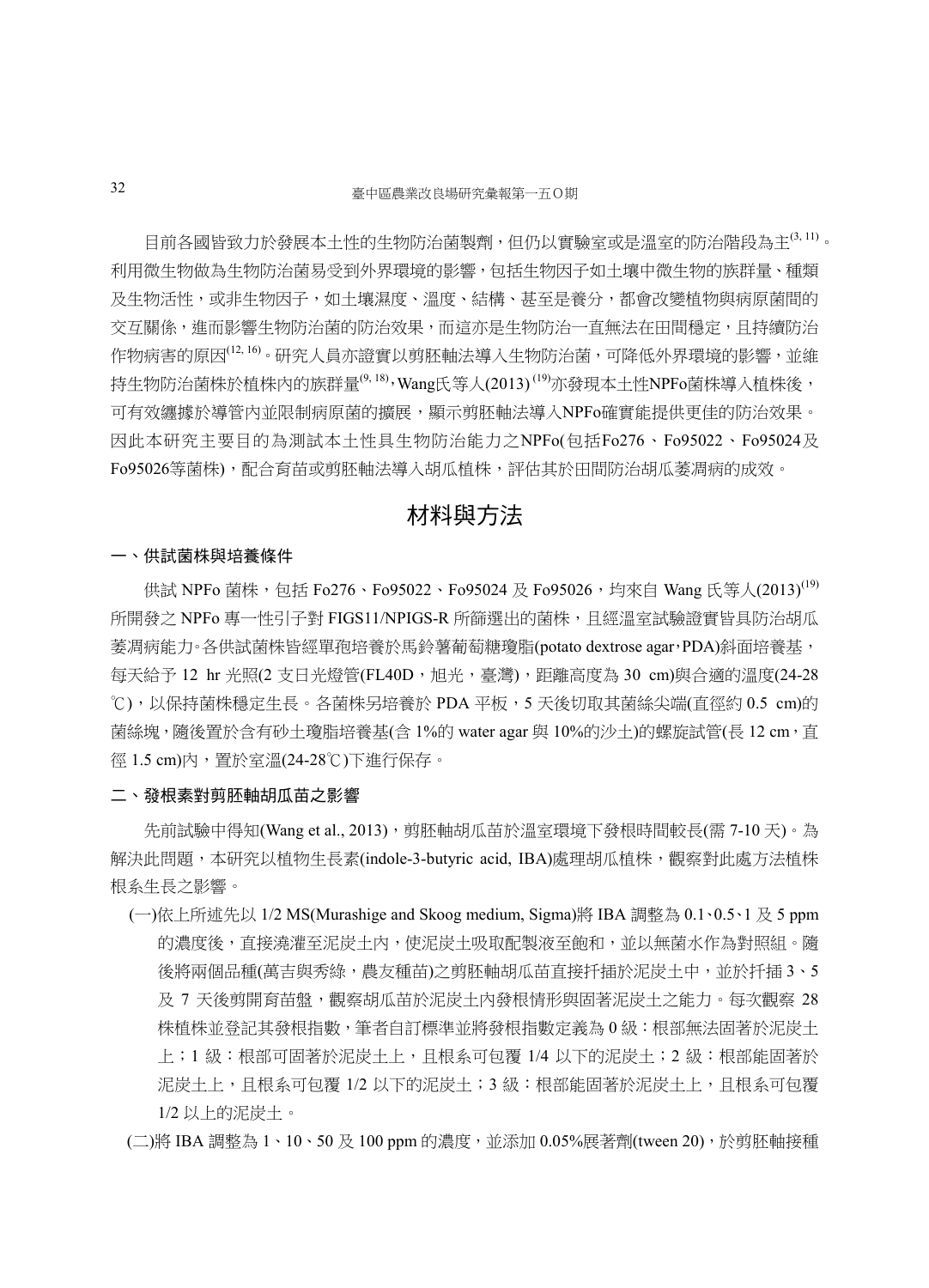目前各國皆致力於發展本土性的生物防治菌製劑,但仍以實驗室或是溫室的防治階段為主 $^{(3,11)}$ 。 利用微生物做為生物防治菌易受到外界環境的影響,包括生物因子如土壤中微生物的族群量、種類 及生物活性,或非生物因子,如土壤濕度、溫度、結構、甚至是養分,都會改變植物與病原菌間的 交互關係,進而影響生物防治菌的防治效果,而這亦是生物防治一直無法在田間穩定,且持續防治 作物病害的原因<sup>(12, 16)</sup>。研究人員亦證實以剪肧軸法導入生物防治菌,可降低外界環境的影響,並維 持生物防治菌株於植株内的族群量<sup>(9, 18)</sup>,Wang氏等人(2013)<sup>(19)</sup>亦發現本土性NPFo菌株導入植株後, 可有效纏據於導管內並限制病原菌的擴展,顯示剪胚軸法導入NPFo確實能提供更佳的防治效果。 因此本研究主要目的為測試本土性具生物防治能力之NPFo(包括Fo276、Fo95022、Fo95024及 Fo95026等菌株),配合育苗或剪胚軸法導入胡瓜植株,評估其於田間防治胡瓜萎凋病的成效。

# 材料與方法

#### 一、供試菌株與培養條件

供試 NPFo 菌株,包括 Fo276、Fo95022、Fo95024 及 Fo95026,均來自 Wang 氏等人(2013)<sup>(19)</sup> 所開發之 NPFo 專一性引子對 FIGS11/NPIGS-R 所篩選出的菌株,且經溫室試驗證實皆具防治胡瓜 萎凋病能力。各供試菌株皆經單孢培養於馬鈴薯葡萄糖瓊脂(potato dextrose agar,PDA)斜面培養基, 每天給予 12 hr 光照(2 支日光燈管(FL40D, 旭光, 臺灣), 距離高度為 30 cm)與合適的溫度(24-28 ℃),以保持菌株穩定生長。各菌株另培養於 PDA 平板,5 天後切取其菌絲尖端(直徑約 0.5 cm)的 菌絲塊,隨後置於含有砂土瓊脂培養基(含 1%的 water agar 與 10%的沙土)的螺旋試管(長 12 cm, 直 徑 1.5 cm)內,置於室溫(24-28℃)下進行保存。

#### 二、發根素對剪胚軸胡瓜苗之影響

先前試驗中得知(Wang et al., 2013), 剪胚軸胡瓜苗於溫室環境下發根時間較長(需 7-10 天)。為 解決此問題,本研究以植物生長素(indole-3-butyric acid, IBA)處理胡瓜植株,觀察對此處方法植株 根系生長之影響。

(一)依上所述先以 1/2 MS(Murashige and Skoog medium, Sigma)將 IBA 調整為 0.1、0.5、1 及 5 ppm 的濃度後,直接澆灌至泥炭土内,使泥炭土吸取配製液至飽和,並以無菌水作為對照組。隨 後將兩個品種(萬吉與秀綠,農友種苗)之剪胚軸胡瓜苗直接扦插於泥炭土中,並於扦插 3、5 及 7 天後剪開育苗盤,觀察胡瓜苗於泥炭土內發根情形與固著泥炭土之能力。每次觀察 28 株植株並登記其發根指數,筆者自訂標準並將發根指數定義為 0 級:根部無法固著於泥炭土 上;1 級:根部可固著於泥炭土上,且根系可包覆 1/4 以下的泥炭土;2 級:根部能固著於 泥炭土上,且根系可包覆 1/2 以下的泥炭土;3 級:根部能固著於泥炭土上,且根系可包覆 1/2 以上的泥炭土。

(二)將 IBA 調整為 1、10、50 及 100 ppm 的濃度,並添加 0.05%展著劑(tween 20),於剪胚軸接種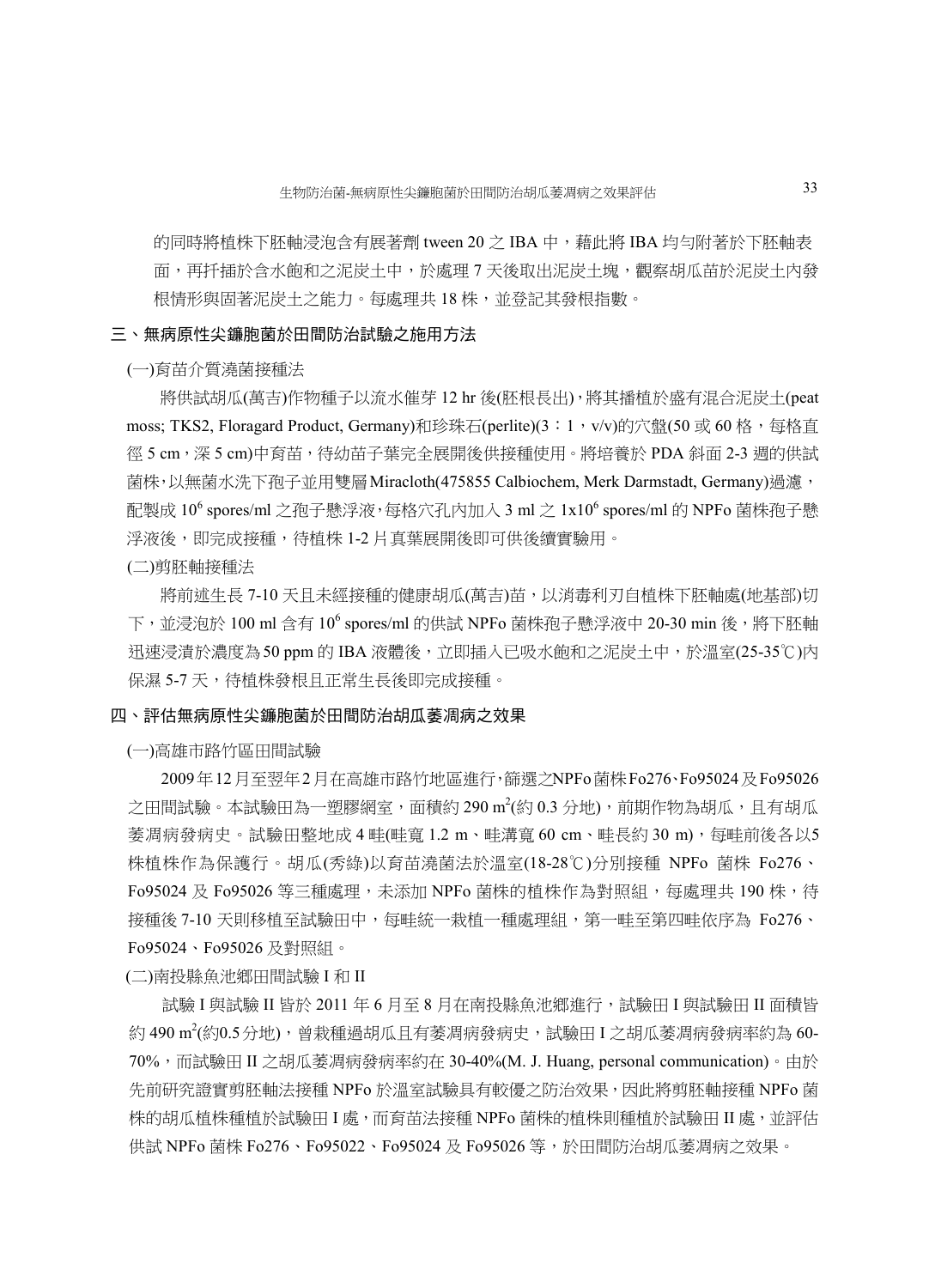的同時將植株下胚軸浸泡含有展著劑 tween 20 之 IBA 中, 藉此將 IBA 均勻附著於下胚軸表 面,再扦插於含水飽和之泥炭土中,於處理 7 天後取出泥炭土塊,觀察胡瓜苗於泥炭土內發 根情形與固著泥炭土之能力。每處理共 18 株,並登記其發根指數。

#### 三、無病原性尖鐮胞菌於田間防治試驗之施用方法

(一)育苗介質澆菌接種法

將供試胡瓜(萬吉)作物種子以流水催芽 12 hr 後(胚根長出),將其播植於盛有混合泥炭土(peat moss; TKS2, Floragard Product, Germany)和珍珠石(perlite)(3:1, v/v)的穴盤(50 或 60 格,每格直 徑 5 cm,深 5 cm)中育苗,待幼苗子葉完全展開後供接種使用。將培養於 PDA 斜面 2-3 週的供試 菌株,以無菌水洗下孢子並用雙層Miracloth(475855 Calbiochem, Merk Darmstadt, Germany)過濾, 配製成 10<sup>6</sup> spores/ml 之孢子懸浮液,每格穴孔內加入 3 ml 之 1x10<sup>6</sup> spores/ml 的 NPFo 菌株孢子懸 浮液後,即完成接種,待植株 1-2 片真葉展開後即可供後續實驗用。

(二)剪胚軸接種法

將前述生長 7-10 天且未經接種的健康胡瓜(萬吉)苗,以消毒利刃自植株下胚軸處(地基部)切 下,並浸泡於 100 ml 含有 10 $^6$  spores/ml 的供試 NPFo 菌株孢子懸浮液中 20-30 min 後,將下胚軸 迅速浸漬於濃度為50 ppm 的 IBA 液體後,立即插入已吸水飽和之泥炭土中,於溫室(25-35℃)內 保濕 5-7 天,待植株發根且正常生長後即完成接種。

#### 四、評估無病原性尖鐮胞菌於田間防治胡瓜萎凋病之效果

(一)高雄市路竹區田間試驗

 2009年12月至翌年2月在高雄市路竹地區進行,篩選之NPFo菌株Fo276、Fo95024及Fo95026 之田間試驗。本試驗田為一塑膠網室,面積約 290 m²(約 0.3 分地),前期作物為胡瓜,且有胡瓜 萎凋病發病史。試驗田整地成 4 畦(畦寬 1.2 m、畦溝寬 60 cm、畦長約 30 m),每畦前後各以5 株植株作為保護行。胡瓜(秀綠)以育苗澆菌法於溫室(18-28℃)分別接種 NPFo 菌株 Fo276、 Fo95024 及 Fo95026 等三種處理,未添加 NPFo 菌株的植株作為對照組,每處理共 190 株,待 接種後 7-10 天則移植至試驗田中,每畦統一栽植一種處理組,第一畦至第四畦依序為 Fo276、 Fo95024、Fo95026 及對照組。

(二)南投縣魚池鄉田間試驗 I 和 II

試驗 I 與試驗 II 皆於 2011 年 6 月至 8 月在南投縣魚池鄉進行,試驗田 I 與試驗田 II 面積皆 約 490 m²(約0.5分地),曾栽種過胡瓜且有萎凋病發病史,試驗田 I 之胡瓜萎凋病發病率約為 60-70%,而試驗田 II 之胡瓜萎凋病發病率約在 30-40%(M. J. Huang, personal communication)。由於 先前研究證實剪胚軸法接種 NPFo 於溫室試驗具有較優之防治效果,因此將剪胚軸接種 NPFo 菌 株的胡瓜植株種植於試驗田 I 處,而育苗法接種 NPFo 菌株的植株則種植於試驗田 II 處,並評估 供試 NPFo 菌株 Fo276、Fo95022、Fo95024 及 Fo95026 等,於田間防治胡瓜萎凋病之效果。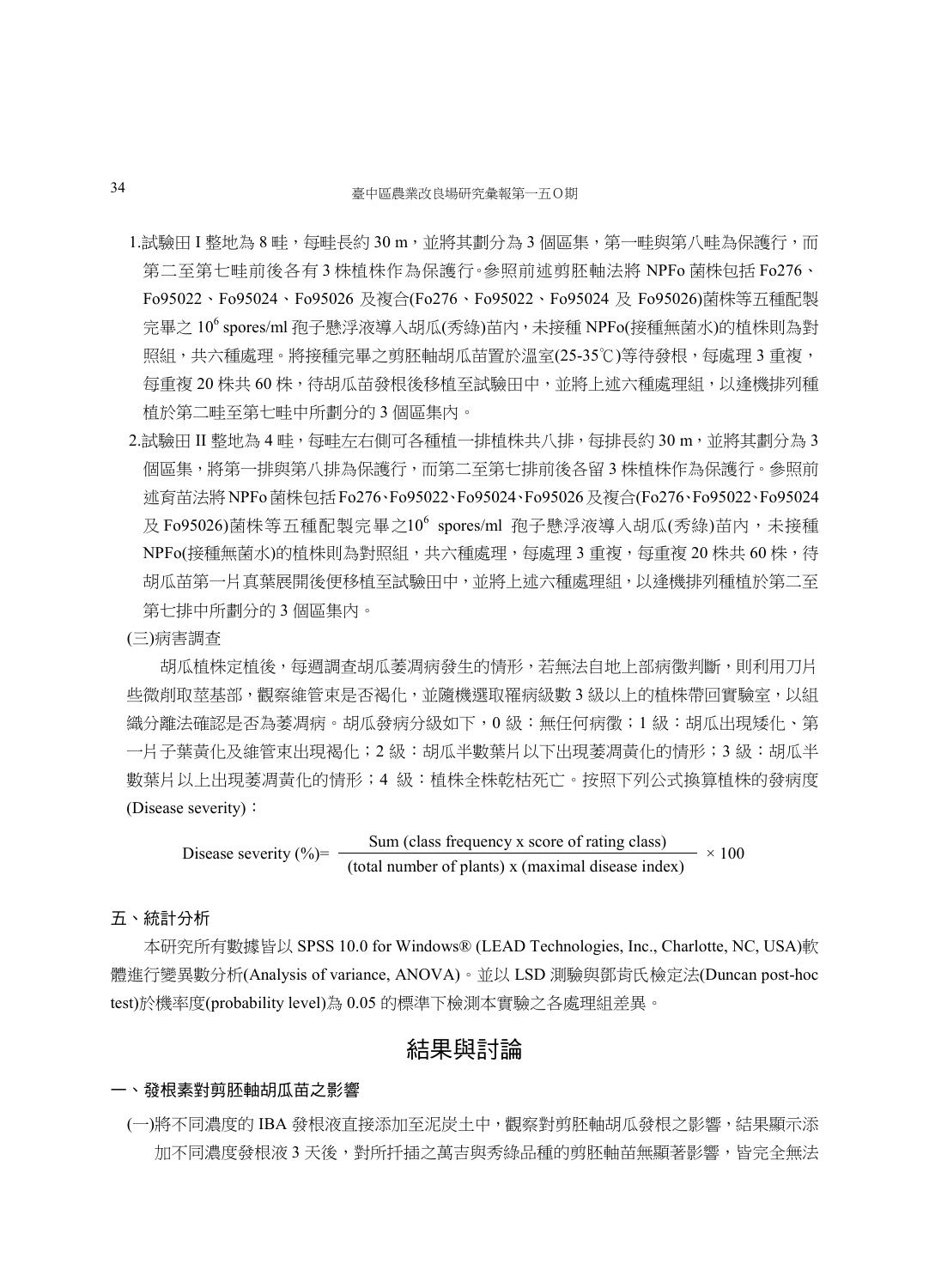- 1.試驗田 I 整地為 8 畦,每畦長約 30 m,並將其劃分為 3 個區集,第一畦與第八畦為保護行,而 第二至第七畦前後各有 3 株植株作為保護行。參照前述剪胚軸法將 NPFo 菌株包括 Fo276、 Fo95022、Fo95024、Fo95026 及複合(Fo276、Fo95022、Fo95024 及 Fo95026)菌株等五種配製 完畢之 10<sup>6</sup> spores/ml 孢子懸浮液導入胡瓜(秀綠)苗內,未接種 NPFo(接種無菌水)的植株則為對 照組,共六種處理。將接種完畢之剪肧軸胡瓜苗置於溫室(25-35℃)等待發根,每處理 3 重複, 每重複 20 株共 60 株,待胡瓜苗發根後移植至試驗田中,並將上述六種處理組,以逢機排列種 植於第二畦至第七畦中所劃分的 3 個區集內。
- 2.試驗田 II 整地為 4 畦, 每畦左右側可各種植一排植株共八排, 每排長約 30 m, 並將其劃分為 3 個區集,將第一排與第八排為保護行,而第二至第七排前後各留 3 株植株作為保護行。參照前 述育苗法將NPFo菌株包括Fo276、Fo95022、Fo95024、Fo95026及複合(Fo276、Fo95022、Fo95024 及 Fo95026)菌株等五種配製完畢之10<sup>6</sup> spores/ml 孢子懸浮液導入胡瓜(秀綠)苗內,未接種 NPFo(接種無菌水)的植株則為對照組,共六種處理,每處理3重複,每重複20株共60株,待 胡瓜苗第一片真葉展開後便移植至試驗田中,並將上述六種處理組,以逢機排列種植於第二至 第七排中所劃分的 3 個區集內。

#### (三)病害調查

胡瓜植株定植後,每週調查胡瓜萎凋病發生的情形,若無法自地上部病徵判斷,則利用刀片 些微削取莖基部,觀察維管束是否褐化,並隨機選取罹病級數 3 級以上的植株帶回實驗室,以組 織分離法確認是否為萎凋病。胡瓜發病分級如下,0級:無任何病徵;1級:胡瓜出現矮化、第 一片子葉黃化及維管束出現褐化;2 級:胡瓜半數葉片以下出現萎凋黃化的情形;3 級:胡瓜半 數葉片以上出現萎凋黃化的情形;4 級:植株全株乾枯死亡。按照下列公式換算植株的發病度 (Disease severity):

Disease severity  $(\% ) = \frac{\text{Sum (class frequency x score of rating class)}}{\text{Sum (class 1 + 1 + 1)}}$  $- \times 100$ (total number of plants) x (maximal disease index)

### 五、統計分析

 本研究所有數據皆以 SPSS 10.0 for Windows® (LEAD Technologies, Inc., Charlotte, NC, USA)軟 體進行變異數分析(Analysis of variance, ANOVA)。並以 LSD 測驗與鄧肯氏檢定法(Duncan post-hoc test)於機率度(probability level)為 0.05 的標準下檢測本實驗之各處理組差異。

## 結果與討論

#### 一、發根素對剪胚軸胡瓜苗之影響

(一)將不同濃度的 IBA 發根液直接添加至泥炭土中,觀察對剪胚軸胡瓜發根之影響,結果顯示添 加不同濃度發根液 3 天後,對所扦插之萬吉與秀綠品種的剪胚軸苗無顯著影響,皆完全無法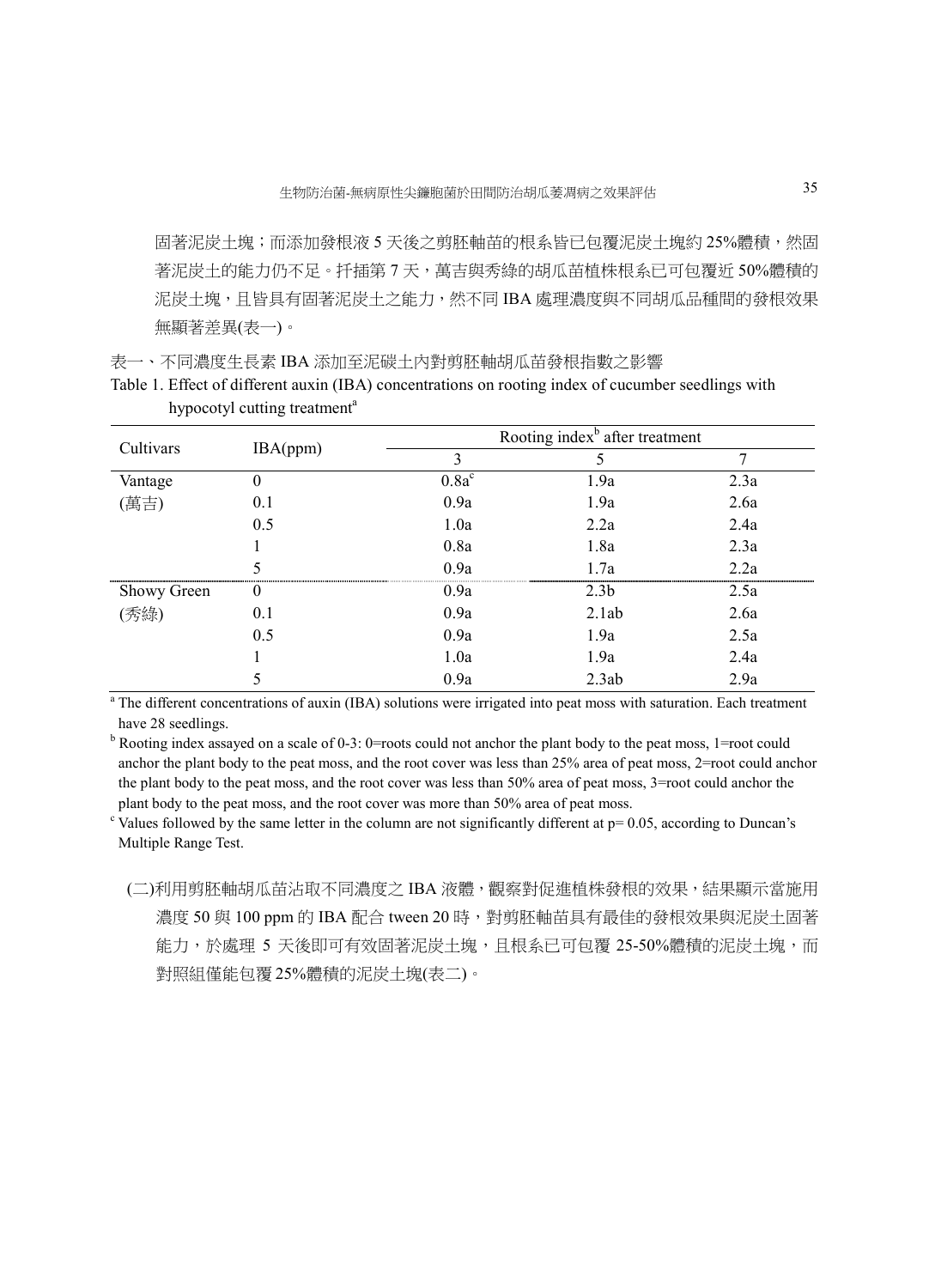固著泥炭土塊;而添加發根液 5 天後之剪胚軸苗的根系皆已包覆泥炭土塊約 25%體積,然固 著泥炭土的能力仍不足。扦插第 7 天,萬吉與秀綠的胡瓜苗植株根系已可包覆近 50%體積的 泥炭土塊,且皆具有固著泥炭土之能力,然不同 IBA 處理濃度與不同胡瓜品種間的發根效果 無顯著差異(表一)。

表一、不同濃度生長素 IBA 添加至泥碳土內對剪胚軸胡瓜苗發根指數之影響

| Table 1. Effect of different auxin (IBA) concentrations on rooting index of cucumber seedlings with |  |  |
|-----------------------------------------------------------------------------------------------------|--|--|
| hypocotyl cutting treatment <sup>a</sup>                                                            |  |  |

| Cultivars   | IBA(ppm) |          | Rooting index <sup>b</sup> after treatment |          |  |  |
|-------------|----------|----------|--------------------------------------------|----------|--|--|
|             |          | 3        |                                            |          |  |  |
| Vantage     |          | $0.8a^c$ | 1.9a                                       | 2.3a     |  |  |
| (萬吉)        | 0.1      | 0.9a     | 1.9a                                       | 2.6a     |  |  |
|             | 0.5      | 1.0a     | 2.2a                                       | 2.4a     |  |  |
|             |          | 0.8a     | 1.8a                                       | 2.3a     |  |  |
|             |          | 0.9a     | 1.7a                                       | 2.2a     |  |  |
| Showy Green | $\theta$ | 0.9a     | 2.3 <sub>b</sub>                           | <br>2.5a |  |  |
| (秀綠)        | 0.1      | 0.9a     | 2.1ab                                      | 2.6a     |  |  |
|             | 0.5      | 0.9a     | 1.9a                                       | 2.5a     |  |  |
|             |          | 1.0a     | 1.9a                                       | 2.4a     |  |  |
|             |          | 0.9a     | 2.3ab                                      | 2.9a     |  |  |

<sup>a</sup> The different concentrations of auxin (IBA) solutions were irrigated into peat moss with saturation. Each treatment have 28 seedlings.

<sup>b</sup> Rooting index assayed on a scale of 0-3: 0=roots could not anchor the plant body to the peat moss, 1=root could anchor the plant body to the peat moss, and the root cover was less than 25% area of peat moss, 2=root could anchor the plant body to the peat moss, and the root cover was less than 50% area of peat moss, 3=root could anchor the plant body to the peat moss, and the root cover was more than 50% area of peat moss.

<sup>c</sup> Values followed by the same letter in the column are not significantly different at  $p=0.05$ , according to Duncan's Multiple Range Test.

(二)利用剪胚軸胡瓜苗沾取不同濃度之 IBA 液體,觀察對促進植株發根的效果,結果顯示當施用 濃度 50 與 100 ppm 的 IBA 配合 tween 20 時,對剪胚軸苗具有最佳的發根效果與泥炭土固著 能力,於處理 5 天後即可有效固著泥炭土塊,且根系已可包覆 25-50%體積的泥炭土塊,而 對照組僅能包覆 25%體積的泥炭土塊(表二)。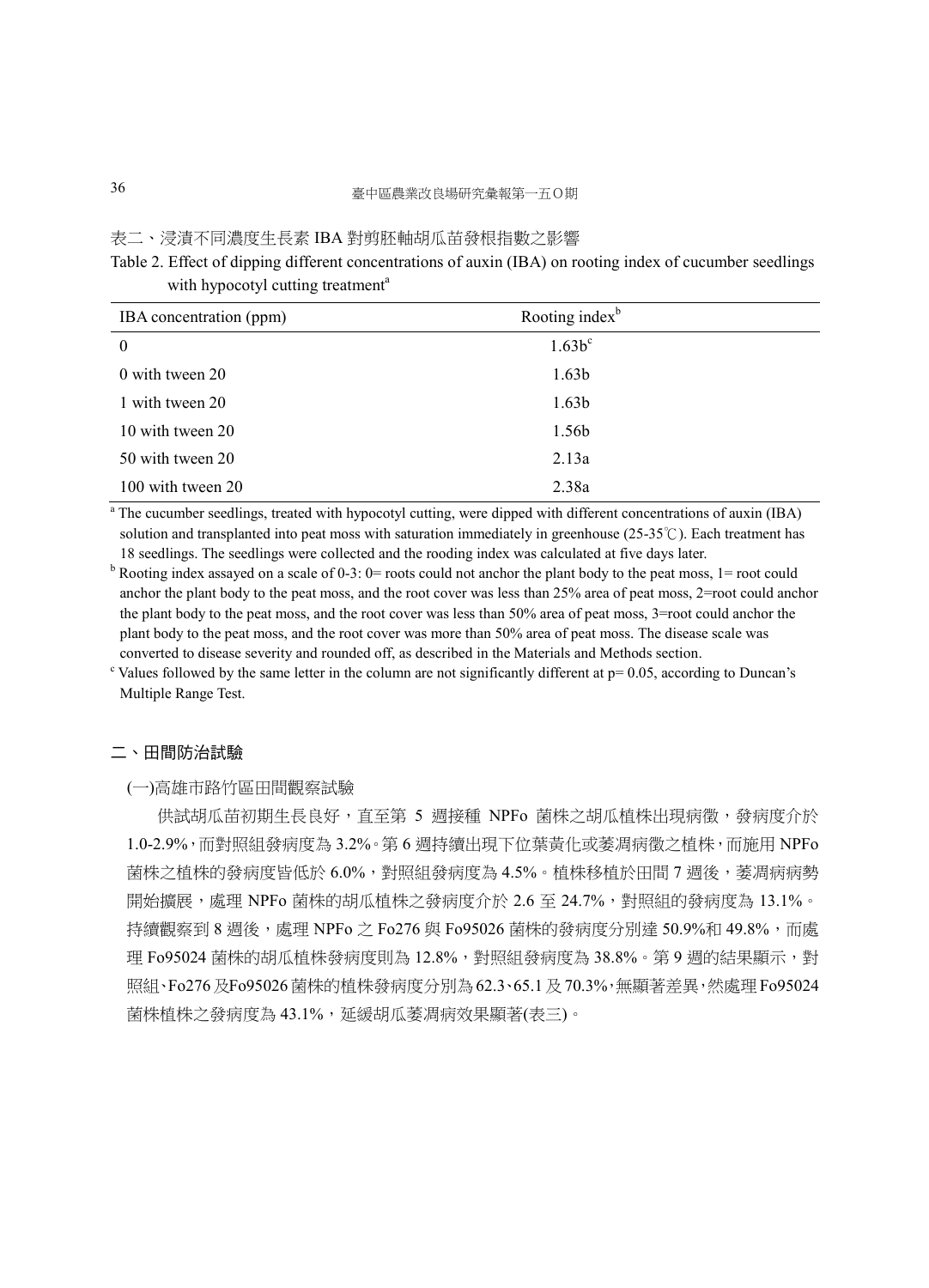#### 表二、浸漬不同濃度生長素 IBA 對剪胚軸胡瓜苗發根指數之影響

Table 2. Effect of dipping different concentrations of auxin (IBA) on rooting index of cucumber seedlings with hypocotyl cutting treatment<sup>a</sup>

| IBA concentration (ppm) | Rooting index <sup>b</sup> |  |
|-------------------------|----------------------------|--|
| $\theta$                | $1.63b^c$                  |  |
| 0 with tween 20         | 1.63 <sub>b</sub>          |  |
| 1 with tween 20         | 1.63 <sub>b</sub>          |  |
| 10 with tween 20        | 1.56b                      |  |
| 50 with tween 20        | 2.13a                      |  |
| 100 with tween 20       | 2.38a                      |  |

<sup>a</sup> The cucumber seedlings, treated with hypocotyl cutting, were dipped with different concentrations of auxin (IBA) solution and transplanted into peat moss with saturation immediately in greenhouse (25-35℃). Each treatment has 18 seedlings. The seedlings were collected and the rooding index was calculated at five days later.

 $b$  Rooting index assayed on a scale of 0-3: 0= roots could not anchor the plant body to the peat moss, 1= root could anchor the plant body to the peat moss, and the root cover was less than 25% area of peat moss, 2=root could anchor the plant body to the peat moss, and the root cover was less than 50% area of peat moss, 3=root could anchor the plant body to the peat moss, and the root cover was more than 50% area of peat moss. The disease scale was converted to disease severity and rounded off, as described in the Materials and Methods section.

<sup>c</sup> Values followed by the same letter in the column are not significantly different at  $p=0.05$ , according to Duncan's Multiple Range Test.

#### 二、田間防治試驗

#### (一)高雄市路竹區田間觀察試驗

供試胡瓜苗初期生長良好,直至第 5 週接種 NPFo 菌株之胡瓜植株出現病徵,發病度介於 1.0-2.9%,而對照組發病度為 3.2%。第 6 週持續出現下位葉黃化或萎凋病徵之植株,而施用 NPFo 菌株之植株的發病度皆低於 6.0%,對照組發病度為 4.5%。植株移植於田間 7 週後,萎凋病病勢 開始擴展,處理 NPFo 菌株的胡瓜植株之發病度介於 2.6 至 24.7%,對照組的發病度為 13.1%。 持續觀察到 8 週後,處理 NPFo 之 Fo276 與 Fo95026 菌株的發病度分別達 50.9%和 49.8%,而處 理 Fo95024 菌株的胡瓜植株發病度則為 12.8%,對照組發病度為 38.8%。第 9 週的結果顯示,對 照組、Fo276及Fo95026菌株的植株發病度分別為62.3、65.1及70.3%,無顯著差異,然處理Fo95024 菌株植株之發病度為 43.1%,延緩胡瓜萎凋病效果顯著(表三)。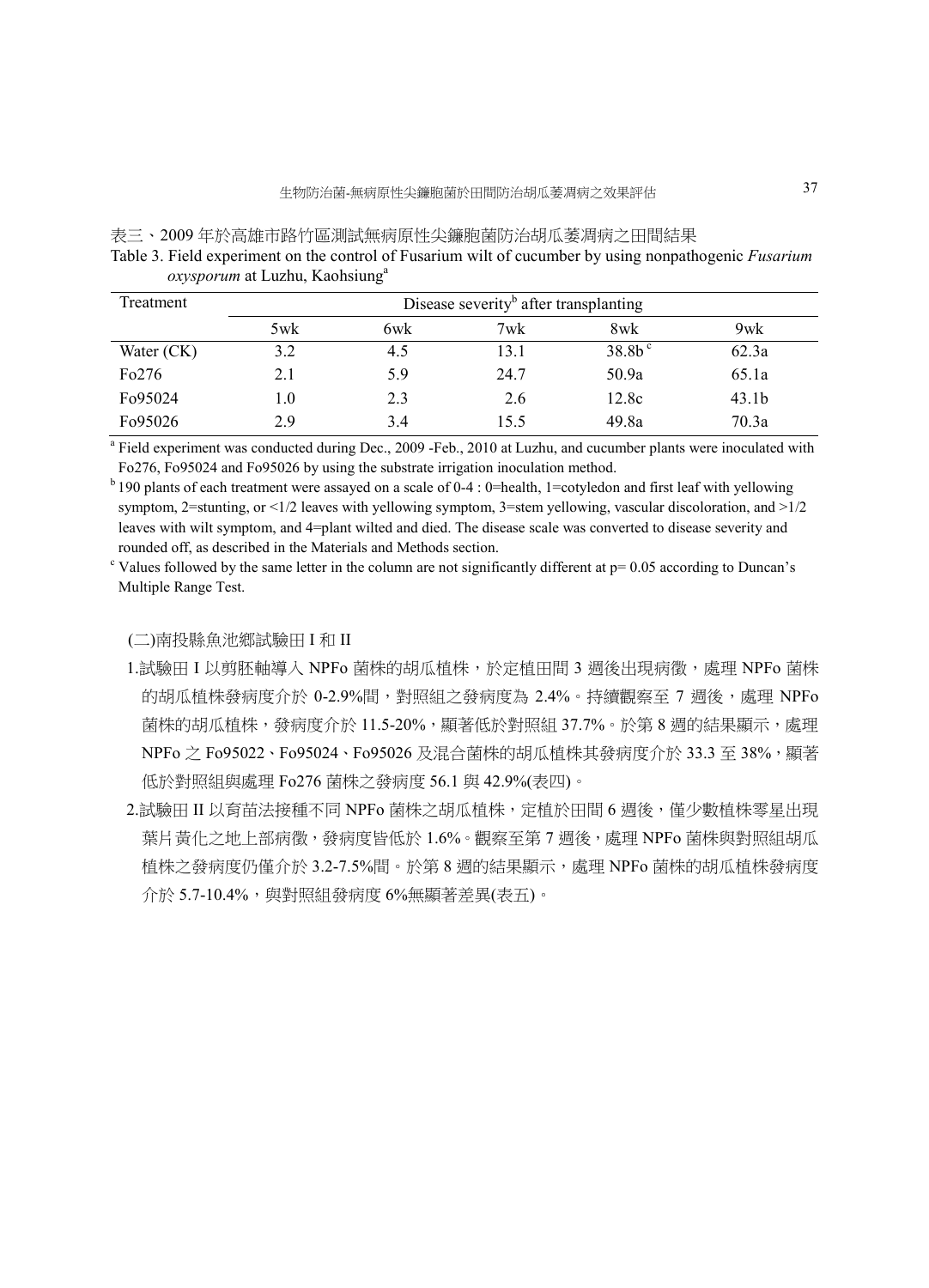| 表三、2009 年於高雄市路竹區測試無病原性尖鐮胞菌防治胡瓜萎凋病之田間結果                                                                |
|-------------------------------------------------------------------------------------------------------|
| Table 3. Field experiment on the control of Fusarium wilt of cucumber by using nonpathogenic Fusarium |
| <i>oxysporum</i> at Luzhu, Kaohsiung <sup>a</sup>                                                     |

| Treatment            | Disease severity <sup>b</sup> after transplanting |     |      |           |                   |  |
|----------------------|---------------------------------------------------|-----|------|-----------|-------------------|--|
|                      | 5wk                                               | 6wk | 7wk  | 8wk       | 9wk               |  |
| Water (CK)           | 3.2                                               | 4.5 | 13.1 | $38.8b^c$ | 62.3a             |  |
| Fo276                | 2.1                                               | 5.9 | 24.7 | 50.9a     | 65.1a             |  |
| F <sub>0</sub> 95024 | 1.0                                               | 2.3 | 2.6  | 12.8c     | 43.1 <sub>b</sub> |  |
| F <sub>0</sub> 95026 | 2.9                                               | 3.4 | 15.5 | 49.8a     | 70.3a             |  |

<sup>a</sup> Field experiment was conducted during Dec., 2009 -Feb., 2010 at Luzhu, and cucumber plants were inoculated with Fo276, Fo95024 and Fo95026 by using the substrate irrigation inoculation method.

 $b$  190 plants of each treatment were assayed on a scale of 0-4 : 0=health, 1=cotyledon and first leaf with yellowing symptom, 2=stunting, or <1/2 leaves with yellowing symptom, 3=stem yellowing, vascular discoloration, and >1/2 leaves with wilt symptom, and 4=plant wilted and died. The disease scale was converted to disease severity and rounded off, as described in the Materials and Methods section.

 $c$  Values followed by the same letter in the column are not significantly different at  $p = 0.05$  according to Duncan's Multiple Range Test.

(二)南投縣魚池鄉試驗田 I 和 II

- 1.試驗田 I 以剪胚軸導入 NPFo 菌株的胡瓜植株,於定植田間 3 週後出現病徵,處理 NPFo 菌株 的胡瓜植株發病度介於 0-2.9%間,對照組之發病度為 2.4%。持續觀察至 7 週後,處理 NPFo 菌株的胡瓜植株,發病度介於 11.5-20%,顯著低於對照組 37.7%。於第 8 週的結果顯示,處理 NPFo 之 Fo95022、Fo95024、Fo95026 及混合菌株的胡瓜植株其發病度介於 33.3 至 38%,顯著 低於對照組與處理 Fo276 菌株之發病度 56.1 與 42.9%(表四)。
- 2.試驗田 II 以育苗法接種不同 NPFo 菌株之胡瓜植株,定植於田間 6 週後,僅少數植株零星出現 葉片黃化之地上部病徵,發病度皆低於 1.6%。觀察至第7週後,處理 NPFo 菌株與對照組胡瓜 植株之發病度仍僅介於 3.2-7.5%間。於第 8 週的結果顯示,處理 NPFo 菌株的胡瓜植株發病度 介於 5.7-10.4%,與對照組發病度 6%無顯著差異(表五)。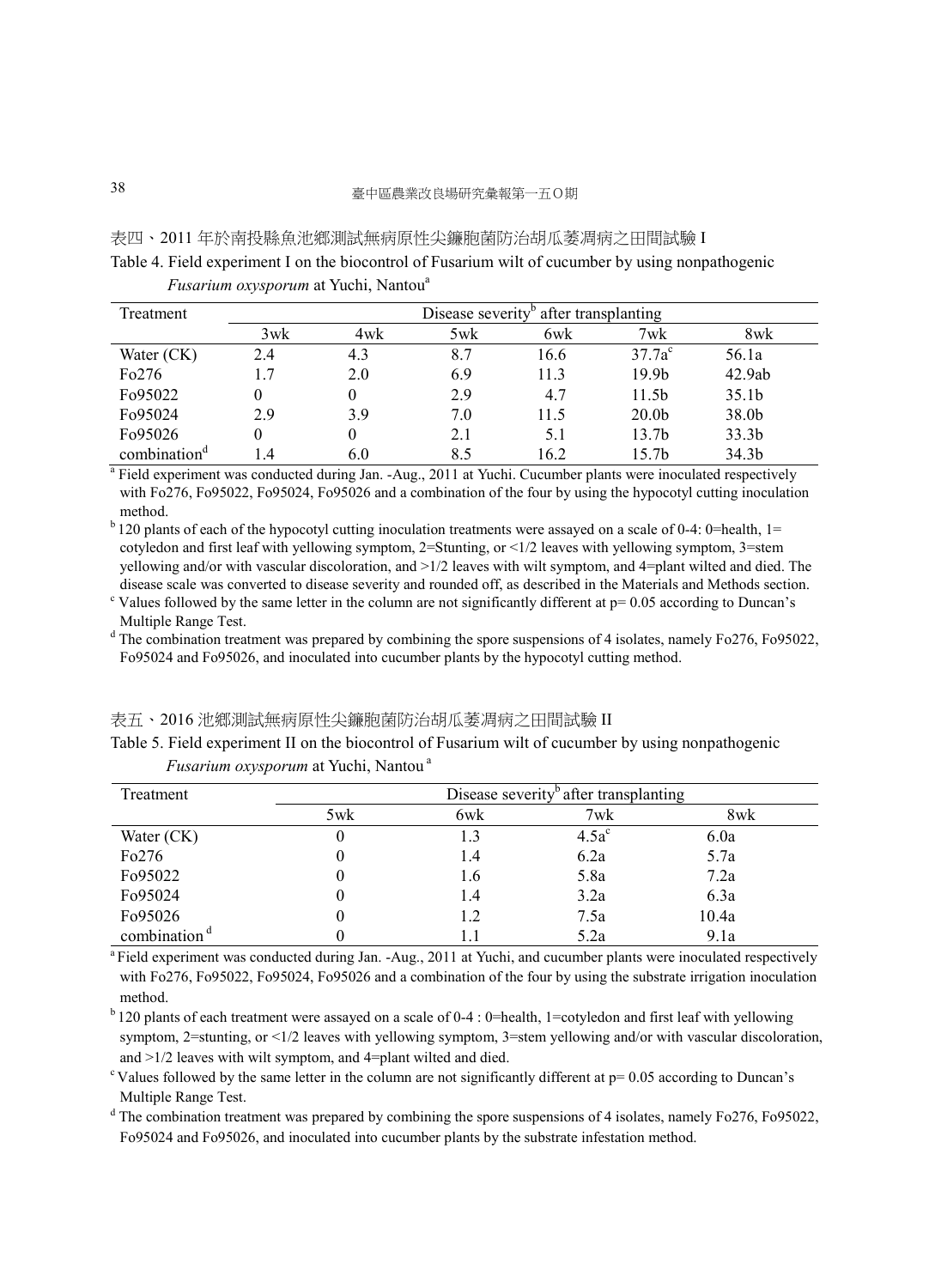#### 表四、2011 年於南投縣魚池鄉測試無病原性尖鐮胞菌防治胡瓜萎凋病之田間試驗 I

Table 4. Field experiment I on the biocontrol of Fusarium wilt of cucumber by using nonpathogenic *Fusarium oxysporum* at Yuchi, Nantou<sup>a</sup>

| Treatment                | Disease severity <sup>b</sup> after transplanting |          |     |      |                   |                   |
|--------------------------|---------------------------------------------------|----------|-----|------|-------------------|-------------------|
|                          | 3wk                                               | 4wk      | 5wk | 6wk  | 7wk               | 8wk               |
| Water $(CK)$             | 2.4                                               | 4.3      | 8.7 | 16.6 | $37.7a^c$         | 56.1a             |
| Fo276                    | 1.7                                               | 2.0      | 6.9 | 11.3 | 19.9 <sub>b</sub> | 42.9ab            |
| Fo95022                  |                                                   | $^{(1)}$ | 2.9 | 4.7  | 11.5 <sub>b</sub> | 35.1 <sub>b</sub> |
| F <sub>0</sub> 95024     | 2.9                                               | 3.9      | 7.0 | 11.5 | 20.0 <sub>b</sub> | 38.0b             |
| Fo95026                  |                                                   |          | 2.1 | 5.1  | 13.7 <sub>b</sub> | 33.3 <sub>b</sub> |
| combination <sup>d</sup> | -4                                                | 6.0      | 8.5 | 16.2 | 15.7 <sub>b</sub> | 34.3 <sub>b</sub> |

<sup>a</sup> Field experiment was conducted during Jan. -Aug., 2011 at Yuchi. Cucumber plants were inoculated respectively with Fo276, Fo95022, Fo95024, Fo95026 and a combination of the four by using the hypocotyl cutting inoculation method.

 $<sup>b</sup>$  120 plants of each of the hypocotyl cutting inoculation treatments were assayed on a scale of 0-4: 0=health, 1=</sup> cotyledon and first leaf with yellowing symptom, 2=Stunting, or <1/2 leaves with yellowing symptom, 3=stem yellowing and/or with vascular discoloration, and >1/2 leaves with wilt symptom, and 4=plant wilted and died. The disease scale was converted to disease severity and rounded off, as described in the Materials and Methods section.

<sup>c</sup> Values followed by the same letter in the column are not significantly different at  $p = 0.05$  according to Duncan's Multiple Range Test.

<sup>d</sup> The combination treatment was prepared by combining the spore suspensions of 4 isolates, namely Fo276, Fo95022, Fo95024 and Fo95026, and inoculated into cucumber plants by the hypocotyl cutting method.

#### 表五、2016 池鄉測試無病原性尖鐮胞菌防治胡瓜萎凋病之田間試驗 II

Table 5. Field experiment II on the biocontrol of Fusarium wilt of cucumber by using nonpathogenic *Fusarium oxysporum* at Yuchi, Nantou<sup>a</sup>

| Treatment                | Disease severity <sup>o</sup> after transplanting |     |          |       |  |
|--------------------------|---------------------------------------------------|-----|----------|-------|--|
|                          | 5wk                                               | 6wk | 7wk      | 8wk   |  |
| Water $(CK)$             | U                                                 | 1.3 | $4.5a^c$ | 6.0a  |  |
| Fo276                    | O                                                 | 1.4 | 6.2a     | 5.7a  |  |
| Fo95022                  | O                                                 | 1.6 | 5.8a     | 7.2a  |  |
| F <sub>0</sub> 95024     | 0                                                 | 1.4 | 3.2a     | 6.3a  |  |
| Fo95026                  | O                                                 | 1.2 | 7.5a     | 10.4a |  |
| combination <sup>d</sup> |                                                   |     | 5.2a     | 9.1a  |  |

<sup>a</sup>Field experiment was conducted during Jan. -Aug., 2011 at Yuchi, and cucumber plants were inoculated respectively with Fo276, Fo95022, Fo95024, Fo95026 and a combination of the four by using the substrate irrigation inoculation method.

 $<sup>b</sup>$  120 plants of each treatment were assayed on a scale of 0-4 : 0=health, 1=cotyledon and first leaf with yellowing</sup> symptom, 2=stunting, or <1/2 leaves with yellowing symptom, 3=stem yellowing and/or with vascular discoloration, and >1/2 leaves with wilt symptom, and 4=plant wilted and died.

 $\degree$ Values followed by the same letter in the column are not significantly different at  $p= 0.05$  according to Duncan's Multiple Range Test.

<sup>d</sup> The combination treatment was prepared by combining the spore suspensions of 4 isolates, namely Fo276, Fo95022, Fo95024 and Fo95026, and inoculated into cucumber plants by the substrate infestation method.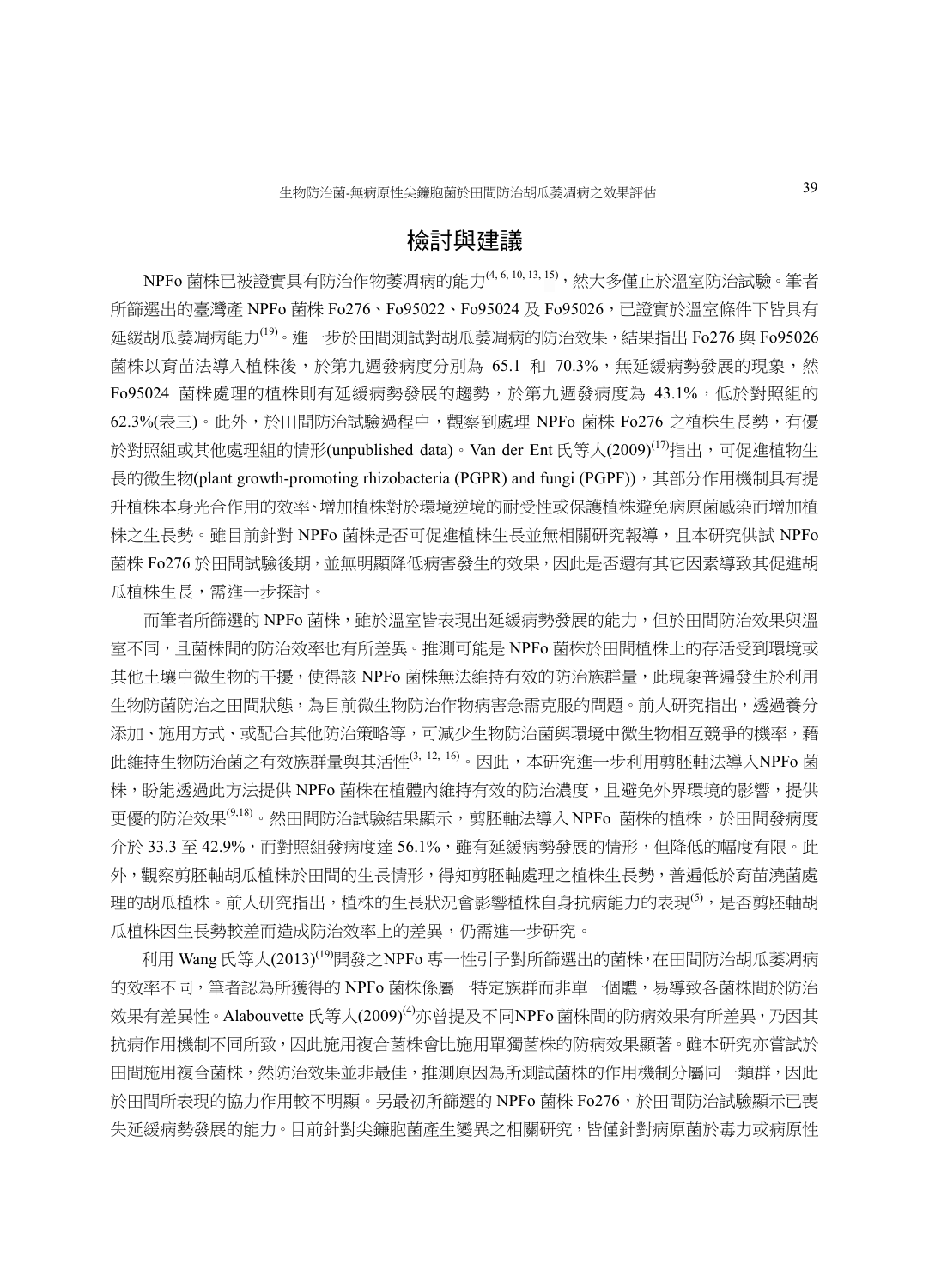## 檢討與建議

NPFo 菌株已被證實具有防治作物萎凋病的能力(4,6,10,13,15),然大多僅止於溫室防治試驗。筆者 所篩選出的臺灣產 NPFo 菌株 Fo276、Fo95022、Fo95024 及 Fo95026,已證實於溫室條件下皆具有 延緩胡瓜萎凋病能力<sup>(19)</sup>。進一步於田間測試對胡瓜萎凋病的防治效果,結果指出 Fo276 與 Fo95026 菌株以育苗法導入植株後,於第九週發病度分別為 65.1 和 70.3%,無延緩病勢發展的現象,然 Fo95024 菌株處理的植株則有延緩病勢發展的趨勢,於第九週發病度為 43.1%,低於對照組的 62.3%(表三)。此外,於田間防治試驗過程中,觀察到處理 NPFo 菌株 Fo276 之植株生長勢,有優 於對照組或其他處理組的情形(unpublished data)。Van der Ent 氏等人(2009)<sup>(17)</sup>指出,可促進植物生 長的微生物(plant growth-promoting rhizobacteria (PGPR) and fungi (PGPF)), 其部分作用機制具有提 升植株本身光合作用的效率、增加植株對於環境逆境的耐受性或保護植株避免病原菌感染而增加植 株之生長勢。雖目前針對 NPFo 菌株是否可促進植株生長並無相關研究報導,且本研究供試 NPFo 菌株 Fo276 於田間試驗後期,並無明顯降低病害發生的效果,因此是否還有其它因素導致其促進胡 瓜植株生長,需進一步探討。

而筆者所篩選的 NPFo 菌株,雖於溫室皆表現出延緩病勢發展的能力,但於田間防治效果與溫 室不同,且菌株間的防治效率也有所差異。推測可能是 NPFo 菌株於田間植株上的存活受到環境或 其他土壤中微生物的干擾,使得該 NPFo 菌株無法維持有效的防治族群量, 此現象普遍發生於利用 生物防菌防治之田間狀態,為目前微生物防治作物病害急需克服的問題。前人研究指出,透過養分 添加、施用方式、或配合其他防治策略等,可減少生物防治菌與環境中微生物相互競爭的機率,藉 此維持生物防治菌之有效族群量與其活性(3, 12, 16)。因此,本研究進一步利用剪胚軸法導入NPFo 菌 株,盼能透過此方法提供 NPFo 菌株在植體內維持有效的防治濃度,且避免外界環境的影響,提供 更優的防治效果<sup>(9,18)</sup>。然田間防治試驗結果顯示,剪胚軸法導入 NPFo 菌株的植株,於田間發病度 介於 33.3 至 42.9%,而對照組發病度達 56.1%,雖有延緩病勢發展的情形,但降低的幅度有限。此 外,觀察剪胚軸胡瓜植株於田間的生長情形,得知剪胚軸處理之植株生長勢,普遍低於育苗澆菌處 理的胡瓜植株。前人研究指出,植株的生長狀況會影響植株自身抗病能力的表現<sup>(5)</sup>,是否剪胚軸胡 瓜植株因生長勢較差而造成防治效率上的差異,仍需進一步研究。

利用 Wang 氏等人(2013)<sup>(19)</sup>開發之NPFo 專一性引子對所篩選出的菌株, 在田間防治胡瓜萎凋病 的效率不同,筆者認為所獲得的 NPFo 菌株係屬一特定族群而非單一個體,易導致各菌株間於防治 效果有差異性。Alabouvette 氏等人(2009)<sup>(4)</sup>亦曾提及不同NPFo 菌株間的防病效果有所差異,乃因其 抗病作用機制不同所致,因此施用複合菌株會比施用單獨菌株的防病效果顯著。雖本研究亦嘗試於 田間施用複合菌株,然防治效果並非最佳,推測原因為所測試菌株的作用機制分屬同一類群,因此 於田間所表現的協力作用較不明顯。另最初所篩選的 NPFo 菌株 Fo276,於田間防治試驗顯示已喪 失延緩病勢發展的能力。目前針對尖鐮胞菌產生變異之相關研究,皆僅針對病原菌於毒力或病原性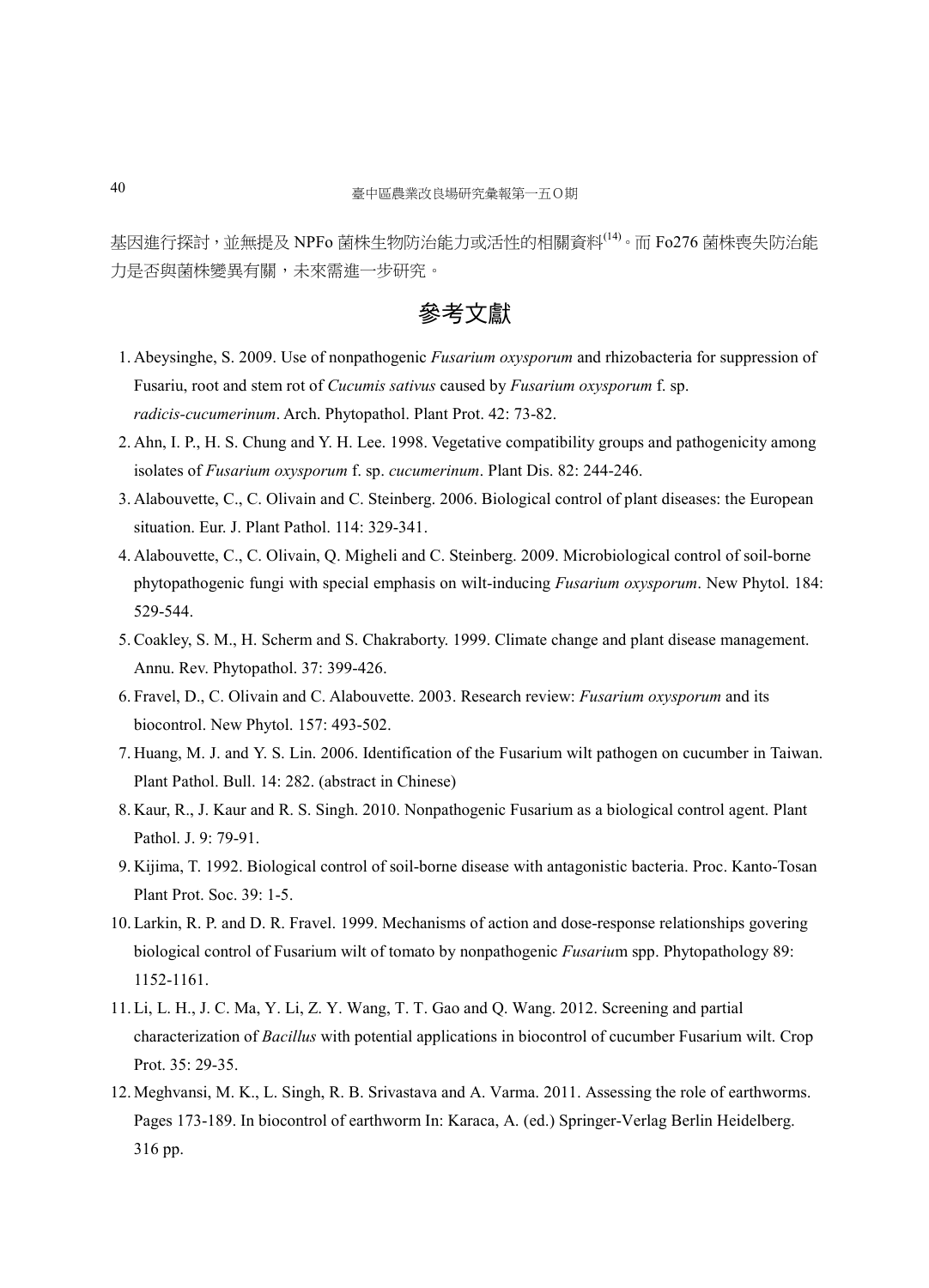基因進行探討,並無提及 NPFo 菌株生物防治能力或活性的相關資料(14)。而 Fo276 菌株喪失防治能 力是否與菌株變異有關,未來需進一步研究。

## 參考文獻

- 1. Abeysinghe, S. 2009. Use of nonpathogenic *Fusarium oxysporum* and rhizobacteria for suppression of Fusariu, root and stem rot of *Cucumis sativus* caused by *Fusarium oxysporum* f. sp. *radicis-cucumerinum*. Arch. Phytopathol. Plant Prot. 42: 73-82.
- 2. Ahn, I. P., H. S. Chung and Y. H. Lee. 1998. Vegetative compatibility groups and pathogenicity among isolates of *Fusarium oxysporum* f. sp. *cucumerinum*. Plant Dis. 82: 244-246.
- 3. Alabouvette, C., C. Olivain and C. Steinberg. 2006. Biological control of plant diseases: the European situation. Eur. J. Plant Pathol. 114: 329-341.
- 4. Alabouvette, C., C. Olivain, Q. Migheli and C. Steinberg. 2009. Microbiological control of soil-borne phytopathogenic fungi with special emphasis on wilt-inducing *Fusarium oxysporum*. New Phytol. 184: 529-544.
- 5.Coakley, S. M., H. Scherm and S. Chakraborty. 1999. Climate change and plant disease management. Annu. Rev. Phytopathol. 37: 399-426.
- 6. Fravel, D., C. Olivain and C. Alabouvette. 2003. Research review: *Fusarium oxysporum* and its biocontrol. New Phytol. 157: 493-502.
- 7. Huang, M. J. and Y. S. Lin. 2006. Identification of the Fusarium wilt pathogen on cucumber in Taiwan. Plant Pathol. Bull. 14: 282. (abstract in Chinese)
- 8. Kaur, R., J. Kaur and R. S. Singh. 2010. Nonpathogenic Fusarium as a biological control agent. Plant Pathol. J. 9: 79-91.
- 9. Kijima, T. 1992. Biological control of soil-borne disease with antagonistic bacteria. Proc. Kanto-Tosan Plant Prot. Soc. 39: 1-5.
- 10.Larkin, R. P. and D. R. Fravel. 1999. Mechanisms of action and dose-response relationships govering biological control of Fusarium wilt of tomato by nonpathogenic *Fusariu*m spp. Phytopathology 89: 1152-1161.
- 11.Li, L. H., J. C. Ma, Y. Li, Z. Y. Wang, T. T. Gao and Q. Wang. 2012. Screening and partial characterization of *Bacillus* with potential applications in biocontrol of cucumber Fusarium wilt. Crop Prot. 35: 29-35.
- 12.Meghvansi, M. K., L. Singh, R. B. Srivastava and A. Varma. 2011. Assessing the role of earthworms. Pages 173-189. In biocontrol of earthworm In: Karaca, A. (ed.) Springer-Verlag Berlin Heidelberg. 316 pp.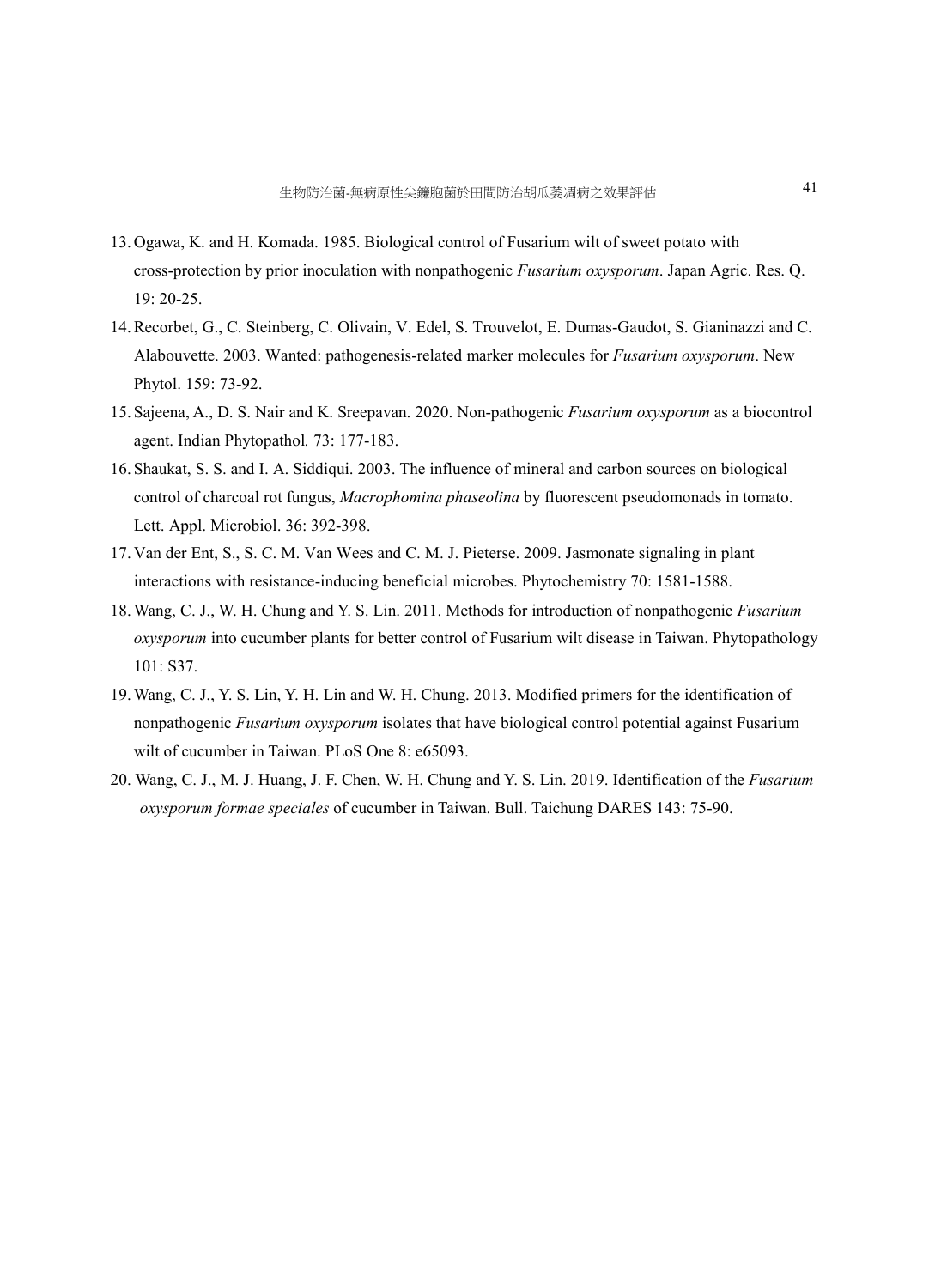- 13. Ogawa, K. and H. Komada. 1985. Biological control of Fusarium wilt of sweet potato with cross-protection by prior inoculation with nonpathogenic *Fusarium oxysporum*. Japan Agric. Res. Q. 19: 20-25.
- 14.Recorbet, G., C. Steinberg, C. Olivain, V. Edel, S. Trouvelot, E. Dumas-Gaudot, S. Gianinazzi and C. Alabouvette. 2003. Wanted: pathogenesis-related marker molecules for *Fusarium oxysporum*. New Phytol. 159: 73-92.
- 15. Sajeena, A., D. S. Nair and K. Sreepavan. 2020. Non-pathogenic *Fusarium oxysporum* as a biocontrol agent. Indian Phytopathol*.* 73: 177-183.
- 16. Shaukat, S. S. and I. A. Siddiqui. 2003. The influence of mineral and carbon sources on biological control of charcoal rot fungus, *Macrophomina phaseolina* by fluorescent pseudomonads in tomato. Lett. Appl. Microbiol. 36: 392-398.
- 17. Van der Ent, S., S. C. M. Van Wees and C. M. J. Pieterse. 2009. Jasmonate signaling in plant interactions with resistance-inducing beneficial microbes. Phytochemistry 70: 1581-1588.
- 18.Wang, C. J., W. H. Chung and Y. S. Lin. 2011. Methods for introduction of nonpathogenic *Fusarium oxysporum* into cucumber plants for better control of Fusarium wilt disease in Taiwan. Phytopathology 101: S37.
- 19.Wang, C. J., Y. S. Lin, Y. H. Lin and W. H. Chung. 2013. Modified primers for the identification of nonpathogenic *Fusarium oxysporum* isolates that have biological control potential against Fusarium wilt of cucumber in Taiwan. PLoS One 8: e65093.
- 20. Wang, C. J., M. J. Huang, J. F. Chen, W. H. Chung and Y. S. Lin. 2019. Identification of the *Fusarium oxysporum formae speciales* of cucumber in Taiwan. Bull. Taichung DARES 143: 75-90.